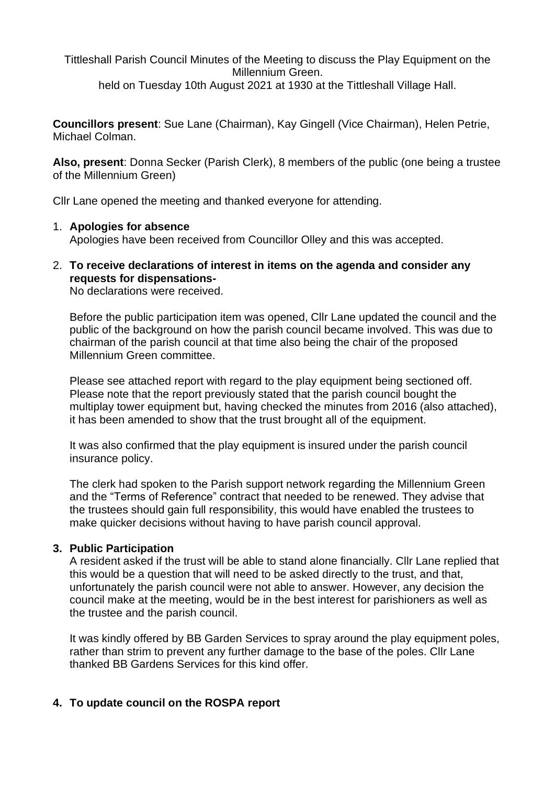Tittleshall Parish Council Minutes of the Meeting to discuss the Play Equipment on the Millennium Green. held on Tuesday 10th August 2021 at 1930 at the Tittleshall Village Hall.

**Councillors present**: Sue Lane (Chairman), Kay Gingell (Vice Chairman), Helen Petrie, Michael Colman.

**Also, present**: Donna Secker (Parish Clerk), 8 members of the public (one being a trustee of the Millennium Green)

Cllr Lane opened the meeting and thanked everyone for attending.

#### 1. **Apologies for absence**

Apologies have been received from Councillor Olley and this was accepted.

2. **To receive declarations of interest in items on the agenda and consider any requests for dispensations-**

No declarations were received.

Before the public participation item was opened, Cllr Lane updated the council and the public of the background on how the parish council became involved. This was due to chairman of the parish council at that time also being the chair of the proposed Millennium Green committee.

Please see attached report with regard to the play equipment being sectioned off. Please note that the report previously stated that the parish council bought the multiplay tower equipment but, having checked the minutes from 2016 (also attached), it has been amended to show that the trust brought all of the equipment.

It was also confirmed that the play equipment is insured under the parish council insurance policy.

The clerk had spoken to the Parish support network regarding the Millennium Green and the "Terms of Reference" contract that needed to be renewed. They advise that the trustees should gain full responsibility, this would have enabled the trustees to make quicker decisions without having to have parish council approval.

#### **3. Public Participation**

A resident asked if the trust will be able to stand alone financially. Cllr Lane replied that this would be a question that will need to be asked directly to the trust, and that, unfortunately the parish council were not able to answer. However, any decision the council make at the meeting, would be in the best interest for parishioners as well as the trustee and the parish council.

It was kindly offered by BB Garden Services to spray around the play equipment poles, rather than strim to prevent any further damage to the base of the poles. Cllr Lane thanked BB Gardens Services for this kind offer.

## **4. To update council on the ROSPA report**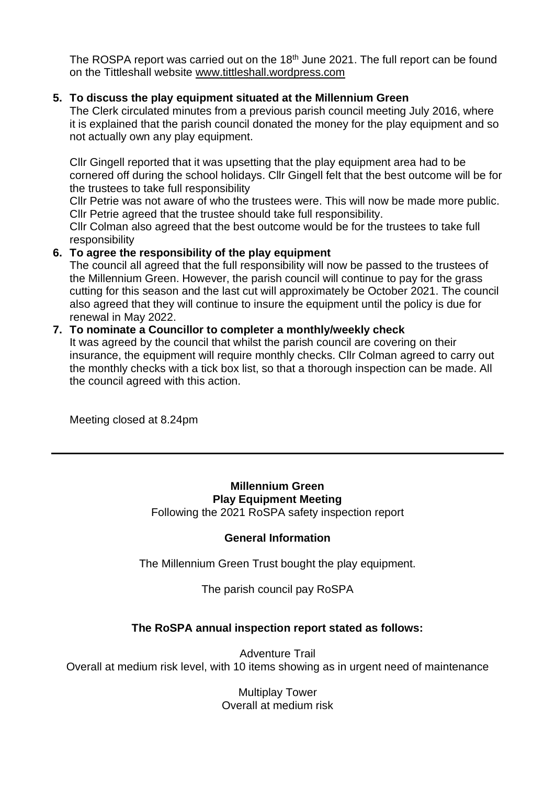The ROSPA report was carried out on the 18<sup>th</sup> June 2021. The full report can be found on the Tittleshall website [www.tittleshall.wordpress.com](http://www.tittleshall.wordpress.com/)

## **5. To discuss the play equipment situated at the Millennium Green**

The Clerk circulated minutes from a previous parish council meeting July 2016, where it is explained that the parish council donated the money for the play equipment and so not actually own any play equipment.

Cllr Gingell reported that it was upsetting that the play equipment area had to be cornered off during the school holidays. Cllr Gingell felt that the best outcome will be for the trustees to take full responsibility

Cllr Petrie was not aware of who the trustees were. This will now be made more public. Cllr Petrie agreed that the trustee should take full responsibility.

Cllr Colman also agreed that the best outcome would be for the trustees to take full responsibility

## **6. To agree the responsibility of the play equipment**

The council all agreed that the full responsibility will now be passed to the trustees of the Millennium Green. However, the parish council will continue to pay for the grass cutting for this season and the last cut will approximately be October 2021. The council also agreed that they will continue to insure the equipment until the policy is due for renewal in May 2022.

#### **7. To nominate a Councillor to completer a monthly/weekly check**

It was agreed by the council that whilst the parish council are covering on their insurance, the equipment will require monthly checks. Cllr Colman agreed to carry out the monthly checks with a tick box list, so that a thorough inspection can be made. All the council agreed with this action.

Meeting closed at 8.24pm

#### **Millennium Green Play Equipment Meeting** Following the 2021 RoSPA safety inspection report

## **General Information**

The Millennium Green Trust bought the play equipment.

The parish council pay RoSPA

# **The RoSPA annual inspection report stated as follows:**

Adventure Trail Overall at medium risk level, with 10 items showing as in urgent need of maintenance

> Multiplay Tower Overall at medium risk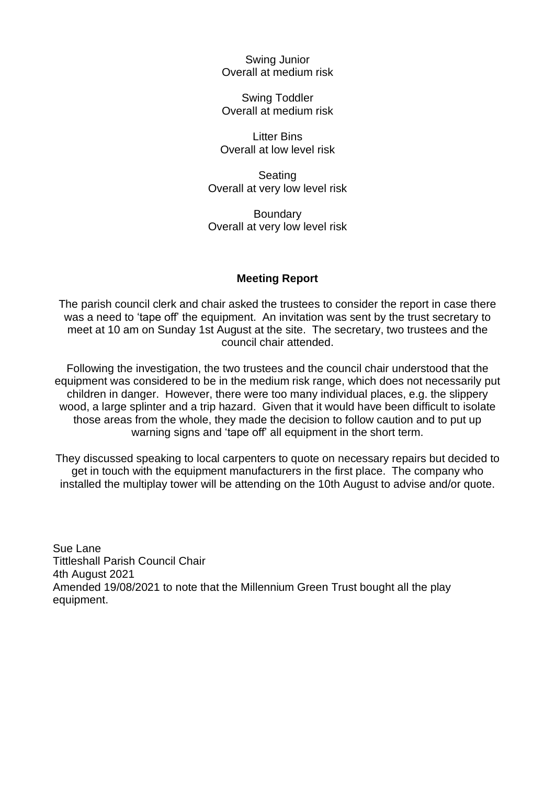Swing Junior Overall at medium risk

Swing Toddler Overall at medium risk

Litter Bins Overall at low level risk

Seating Overall at very low level risk

**Boundary** Overall at very low level risk

#### **Meeting Report**

The parish council clerk and chair asked the trustees to consider the report in case there was a need to 'tape off' the equipment. An invitation was sent by the trust secretary to meet at 10 am on Sunday 1st August at the site. The secretary, two trustees and the council chair attended.

Following the investigation, the two trustees and the council chair understood that the equipment was considered to be in the medium risk range, which does not necessarily put children in danger. However, there were too many individual places, e.g. the slippery wood, a large splinter and a trip hazard. Given that it would have been difficult to isolate those areas from the whole, they made the decision to follow caution and to put up warning signs and 'tape off' all equipment in the short term.

They discussed speaking to local carpenters to quote on necessary repairs but decided to get in touch with the equipment manufacturers in the first place. The company who installed the multiplay tower will be attending on the 10th August to advise and/or quote.

Sue Lane Tittleshall Parish Council Chair 4th August 2021 Amended 19/08/2021 to note that the Millennium Green Trust bought all the play equipment.